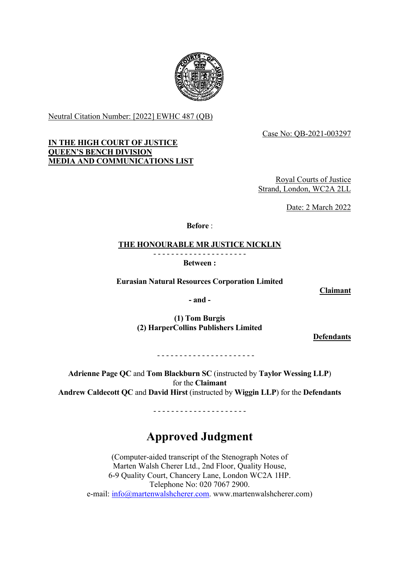

Neutral Citation Number: [2022] EWHC 487 (QB)

Case No: QB-2021-003297

# **IN THE HIGH COURT OF JUSTICE QUEEN'S BENCH DIVISION MEDIA AND COMMUNICATIONS LIST**

Royal Courts of Justice Strand, London, WC2A 2LL

Date: 2 March 2022

**Before** :

**THE HONOURABLE MR JUSTICE NICKLIN**

- - - - - - - - - - - - - - - - - - - - -

**Between :**

**Eurasian Natural Resources Corporation Limited**

**Claimant**

**- and -**

**(1) Tom Burgis (2) HarperCollins Publishers Limited**

**Defendants**

- - - - - - - - - - - - - - - - - - - - - -

**Adrienne Page QC** and **Tom Blackburn SC** (instructed by **Taylor Wessing LLP**) for the **Claimant Andrew Caldecott QC** and **David Hirst** (instructed by **Wiggin LLP**) for the **Defendants**

- - - - - - - - - - - - - - - - - - - - -

# **Approved Judgment**

(Computer-aided transcript of the Stenograph Notes of Marten Walsh Cherer Ltd., 2nd Floor, Quality House, 6-9 Quality Court, Chancery Lane, London WC2A 1HP. Telephone No: 020 7067 2900. e-mail:  $\inf \frac{\partial}{\partial m}$ artenwalshcherer.com. www.martenwalshcherer.com)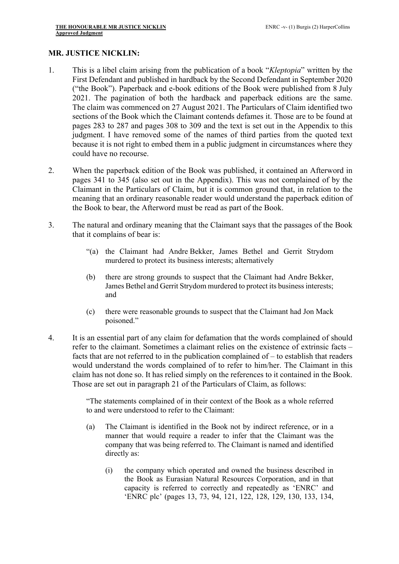## **MR. JUSTICE NICKLIN:**

- 1. This is a libel claim arising from the publication of a book "*Kleptopia*" written by the First Defendant and published in hardback by the Second Defendant in September 2020 ("the Book"). Paperback and e-book editions of the Book were published from 8 July 2021. The pagination of both the hardback and paperback editions are the same. The claim was commenced on 27 August 2021. The Particulars of Claim identified two sections of the Book which the Claimant contends defames it. Those are to be found at pages 283 to 287 and pages 308 to 309 and the text is set out in the Appendix to this judgment. I have removed some of the names of third parties from the quoted text because it is not right to embed them in a public judgment in circumstances where they could have no recourse.
- 2. When the paperback edition of the Book was published, it contained an Afterword in pages 341 to 345 (also set out in the Appendix). This was not complained of by the Claimant in the Particulars of Claim, but it is common ground that, in relation to the meaning that an ordinary reasonable reader would understand the paperback edition of the Book to bear, the Afterword must be read as part of the Book.
- 3. The natural and ordinary meaning that the Claimant says that the passages of the Book that it complains of bear is:
	- "(a) the Claimant had Andre Bekker, James Bethel and Gerrit Strydom murdered to protect its business interests; alternatively
	- (b) there are strong grounds to suspect that the Claimant had Andre Bekker, James Bethel and Gerrit Strydom murdered to protect its business interests; and
	- (c) there were reasonable grounds to suspect that the Claimant had Jon Mack poisoned."
- 4. It is an essential part of any claim for defamation that the words complained of should refer to the claimant. Sometimes a claimant relies on the existence of extrinsic facts – facts that are not referred to in the publication complained of – to establish that readers would understand the words complained of to refer to him/her. The Claimant in this claim has not done so. It has relied simply on the references to it contained in the Book. Those are set out in paragraph 21 of the Particulars of Claim, as follows:

"The statements complained of in their context of the Book as a whole referred to and were understood to refer to the Claimant:

- (a) The Claimant is identified in the Book not by indirect reference, or in a manner that would require a reader to infer that the Claimant was the company that was being referred to. The Claimant is named and identified directly as:
	- (i) the company which operated and owned the business described in the Book as Eurasian Natural Resources Corporation, and in that capacity is referred to correctly and repeatedly as 'ENRC' and 'ENRC plc' (pages 13, 73, 94, 121, 122, 128, 129, 130, 133, 134,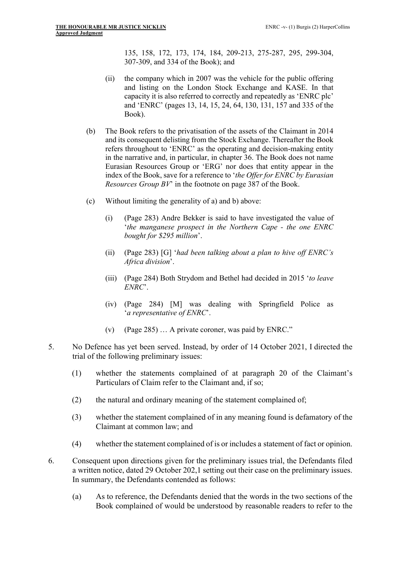135, 158, 172, 173, 174, 184, 209-213, 275-287, 295, 299-304, 307-309, and 334 of the Book); and

- (ii) the company which in 2007 was the vehicle for the public offering and listing on the London Stock Exchange and KASE. In that capacity it is also referred to correctly and repeatedly as 'ENRC plc' and 'ENRC' (pages 13, 14, 15, 24, 64, 130, 131, 157 and 335 of the Book).
- (b) The Book refers to the privatisation of the assets of the Claimant in 2014 and its consequent delisting from the Stock Exchange. Thereafter the Book refers throughout to 'ENRC' as the operating and decision-making entity in the narrative and, in particular, in chapter 36. The Book does not name Eurasian Resources Group or 'ERG' nor does that entity appear in the index of the Book, save for a reference to '*the Offer for ENRC by Eurasian Resources Group BV*' in the footnote on page 387 of the Book.
- (c) Without limiting the generality of a) and b) above:
	- (i) (Page 283) Andre Bekker is said to have investigated the value of '*the manganese prospect in the Northern Cape - the one ENRC bought for \$295 million*'.
	- (ii) (Page 283) [G] '*had been talking about a plan to hive off ENRC's Africa division*'.
	- (iii) (Page 284) Both Strydom and Bethel had decided in 2015 '*to leave ENRC*'.
	- (iv) (Page 284) [M] was dealing with Springfield Police as '*a representative of ENRC*'.
	- (v) (Page 285) … A private coroner, was paid by ENRC."
- 5. No Defence has yet been served. Instead, by order of 14 October 2021, I directed the trial of the following preliminary issues:
	- (1) whether the statements complained of at paragraph 20 of the Claimant's Particulars of Claim refer to the Claimant and, if so;
	- (2) the natural and ordinary meaning of the statement complained of;
	- (3) whether the statement complained of in any meaning found is defamatory of the Claimant at common law; and
	- (4) whether the statement complained of is or includes a statement of fact or opinion.
- 6. Consequent upon directions given for the preliminary issues trial, the Defendants filed a written notice, dated 29 October 202,1 setting out their case on the preliminary issues. In summary, the Defendants contended as follows:
	- (a) As to reference, the Defendants denied that the words in the two sections of the Book complained of would be understood by reasonable readers to refer to the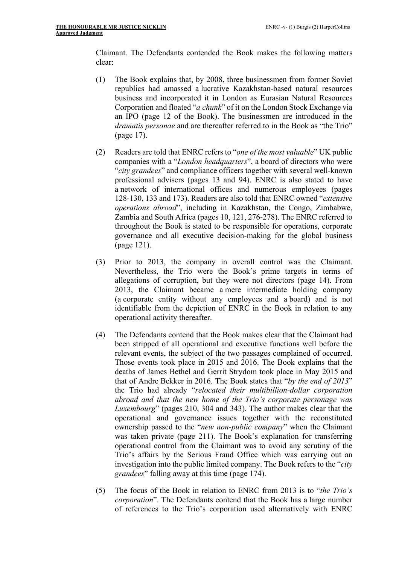Claimant. The Defendants contended the Book makes the following matters clear:

- (1) The Book explains that, by 2008, three businessmen from former Soviet republics had amassed a lucrative Kazakhstan-based natural resources business and incorporated it in London as Eurasian Natural Resources Corporation and floated "*a chunk*" of it on the London Stock Exchange via an IPO (page 12 of the Book). The businessmen are introduced in the *dramatis personae* and are thereafter referred to in the Book as "the Trio" (page 17).
- (2) Readers are told that ENRC refers to "*one of the most valuable*" UK public companies with a "*London headquarters*", a board of directors who were "*city grandees*" and compliance officers together with several well-known professional advisers (pages 13 and 94). ENRC is also stated to have a network of international offices and numerous employees (pages 128-130, 133 and 173). Readers are also told that ENRC owned "*extensive operations abroad*", including in Kazakhstan, the Congo, Zimbabwe, Zambia and South Africa (pages 10, 121, 276-278). The ENRC referred to throughout the Book is stated to be responsible for operations, corporate governance and all executive decision-making for the global business (page 121).
- (3) Prior to 2013, the company in overall control was the Claimant. Nevertheless, the Trio were the Book's prime targets in terms of allegations of corruption, but they were not directors (page 14). From 2013, the Claimant became a mere intermediate holding company (a corporate entity without any employees and a board) and is not identifiable from the depiction of ENRC in the Book in relation to any operational activity thereafter.
- (4) The Defendants contend that the Book makes clear that the Claimant had been stripped of all operational and executive functions well before the relevant events, the subject of the two passages complained of occurred. Those events took place in 2015 and 2016. The Book explains that the deaths of James Bethel and Gerrit Strydom took place in May 2015 and that of Andre Bekker in 2016. The Book states that "*by the end of 2013*" the Trio had already "*relocated their multibillion-dollar corporation abroad and that the new home of the Trio's corporate personage was Luxembourg*" (pages 210, 304 and 343). The author makes clear that the operational and governance issues together with the reconstituted ownership passed to the "*new non-public company*" when the Claimant was taken private (page 211). The Book's explanation for transferring operational control from the Claimant was to avoid any scrutiny of the Trio's affairs by the Serious Fraud Office which was carrying out an investigation into the public limited company. The Book refers to the "*city grandees*" falling away at this time (page 174).
- (5) The focus of the Book in relation to ENRC from 2013 is to "*the Trio's corporation*". The Defendants contend that the Book has a large number of references to the Trio's corporation used alternatively with ENRC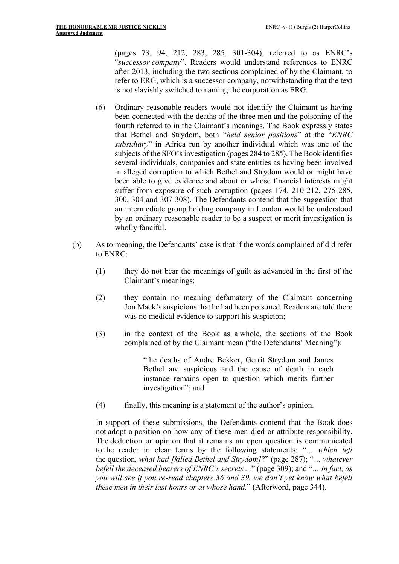(pages 73, 94, 212, 283, 285, 301-304), referred to as ENRC's "*successor company*". Readers would understand references to ENRC after 2013, including the two sections complained of by the Claimant, to refer to ERG, which is a successor company, notwithstanding that the text is not slavishly switched to naming the corporation as ERG.

- (6) Ordinary reasonable readers would not identify the Claimant as having been connected with the deaths of the three men and the poisoning of the fourth referred to in the Claimant's meanings. The Book expressly states that Bethel and Strydom, both "*held senior positions*" at the "*ENRC subsidiary*" in Africa run by another individual which was one of the subjects of the SFO's investigation (pages 284 to 285). The Book identifies several individuals, companies and state entities as having been involved in alleged corruption to which Bethel and Strydom would or might have been able to give evidence and about or whose financial interests might suffer from exposure of such corruption (pages 174, 210-212, 275-285, 300, 304 and 307-308). The Defendants contend that the suggestion that an intermediate group holding company in London would be understood by an ordinary reasonable reader to be a suspect or merit investigation is wholly fanciful.
- (b) As to meaning, the Defendants' case is that if the words complained of did refer to ENRC:
	- (1) they do not bear the meanings of guilt as advanced in the first of the Claimant's meanings;
	- (2) they contain no meaning defamatory of the Claimant concerning Jon Mack's suspicions that he had been poisoned. Readers are told there was no medical evidence to support his suspicion;
	- (3) in the context of the Book as a whole, the sections of the Book complained of by the Claimant mean ("the Defendants' Meaning"):

"the deaths of Andre Bekker, Gerrit Strydom and James Bethel are suspicious and the cause of death in each instance remains open to question which merits further investigation"; and

(4) finally, this meaning is a statement of the author's opinion.

In support of these submissions, the Defendants contend that the Book does not adopt a position on how any of these men died or attribute responsibility. The deduction or opinion that it remains an open question is communicated to the reader in clear terms by the following statements: "*… which left*  the question*, what had [killed Bethel and Strydom]*?" (page 287); "*… whatever befell the deceased bearers of ENRC's secrets ...*" (page 309); and "*… in fact, as you will see if you re-read chapters 36 and 39, we don't yet know what befell these men in their last hours or at whose hand.*" (Afterword, page 344).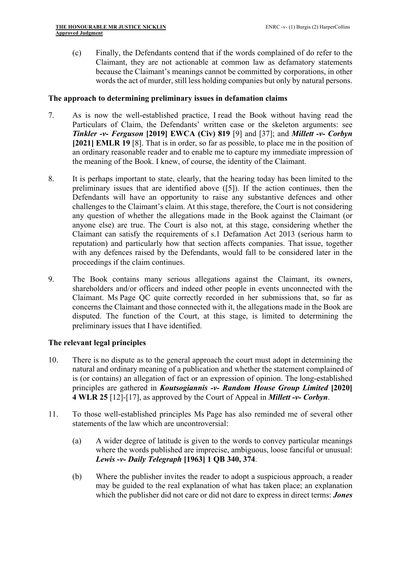(c) Finally, the Defendants contend that if the words complained of do refer to the Claimant, they are not actionable at common law as defamatory statements because the Claimant's meanings cannot be committed by corporations, in other words the act of murder, still less holding companies but only by natural persons.

## **The approach to determining preliminary issues in defamation claims**

- 7. As is now the well-established practice, I read the Book without having read the Particulars of Claim, the Defendants' written case or the skeleton arguments: see *Tinkler -v- Ferguson* **[2019] EWCA (Civ) 819** [9] and [37]; and *Millett -v- Corbyn* **[2021] EMLR 19** [8]. That is in order, so far as possible, to place me in the position of an ordinary reasonable reader and to enable me to capture my immediate impression of the meaning of the Book. I knew, of course, the identity of the Claimant.
- 8. It is perhaps important to state, clearly, that the hearing today has been limited to the preliminary issues that are identified above ([5]). If the action continues, then the Defendants will have an opportunity to raise any substantive defences and other challenges to the Claimant's claim. At this stage, therefore, the Court is not considering any question of whether the allegations made in the Book against the Claimant (or anyone else) are true. The Court is also not, at this stage, considering whether the Claimant can satisfy the requirements of s.1 Defamation Act 2013 (serious harm to reputation) and particularly how that section affects companies. That issue, together with any defences raised by the Defendants, would fall to be considered later in the proceedings if the claim continues.
- 9. The Book contains many serious allegations against the Claimant, its owners, shareholders and/or officers and indeed other people in events unconnected with the Claimant. Ms Page QC quite correctly recorded in her submissions that, so far as concerns the Claimant and those connected with it, the allegations made in the Book are disputed. The function of the Court, at this stage, is limited to determining the preliminary issues that I have identified.

# **The relevant legal principles**

- 10. There is no dispute as to the general approach the court must adopt in determining the natural and ordinary meaning of a publication and whether the statement complained of is (or contains) an allegation of fact or an expression of opinion. The long-established principles are gathered in *Koutsogiannis -v- Random House Group Limited* **[2020] 4 WLR 25** [12]-[17], as approved by the Court of Appeal in *Millett -v- Corbyn*.
- 11. To those well-established principles Ms Page has also reminded me of several other statements of the law which are uncontroversial:
	- (a) A wider degree of latitude is given to the words to convey particular meanings where the words published are imprecise, ambiguous, loose fanciful or unusual: *Lewis* **-***v- Daily Telegraph* **[1963] 1 QB 340, 374**.
	- (b) Where the publisher invites the reader to adopt a suspicious approach, a reader may be guided to the real explanation of what has taken place; an explanation which the publisher did not care or did not dare to express in direct terms: *Jones*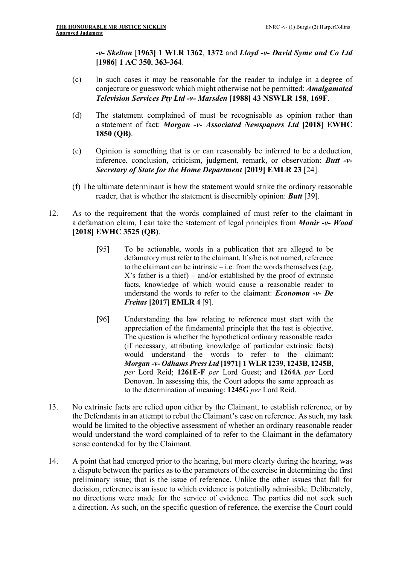*-v- Skelton* **[1963] 1 WLR 1362**, **1372** and *Lloyd -v- David Syme and Co Ltd* **[1986] 1 AC 350**, **363-364**.

- (c) In such cases it may be reasonable for the reader to indulge in a degree of conjecture or guesswork which might otherwise not be permitted: *Amalgamated Television Services Pty Ltd -v- Marsden* **[1988] 43 NSWLR 158**, **169F**.
- (d) The statement complained of must be recognisable as opinion rather than a statement of fact: *Morgan* **-***v- Associated Newspapers Ltd* **[2018] EWHC 1850 (QB)**.
- (e) Opinion is something that is or can reasonably be inferred to be a deduction, inference, conclusion, criticism, judgment, remark, or observation: *Butt -v-Secretary of State for the Home Department* **[2019] EMLR 23** [24].
- (f) The ultimate determinant is how the statement would strike the ordinary reasonable reader, that is whether the statement is discernibly opinion: *Butt* [39].
- 12. As to the requirement that the words complained of must refer to the claimant in a defamation claim, I can take the statement of legal principles from *Monir -v- Wood* **[2018] EWHC 3525 (QB)**.
	- [95] To be actionable, words in a publication that are alleged to be defamatory must refer to the claimant. If s/he is not named, reference to the claimant can be intrinsic – i.e. from the words themselves (e.g.  $X$ 's father is a thief) – and/or established by the proof of extrinsic facts, knowledge of which would cause a reasonable reader to understand the words to refer to the claimant: *Economou -v- De Freitas* **[2017] EMLR 4** [9].
	- [96] Understanding the law relating to reference must start with the appreciation of the fundamental principle that the test is objective. The question is whether the hypothetical ordinary reasonable reader (if necessary, attributing knowledge of particular extrinsic facts) would understand the words to refer to the claimant: *Morgan -v- Odhams Press Ltd* **[1971] 1 WLR 1239, 1243B, 1245B**, *per* Lord Reid; **1261E-F** *per* Lord Guest; and **1264A** *per* Lord Donovan. In assessing this, the Court adopts the same approach as to the determination of meaning: **1245G** *per* Lord Reid.
- 13. No extrinsic facts are relied upon either by the Claimant, to establish reference, or by the Defendants in an attempt to rebut the Claimant's case on reference. As such, my task would be limited to the objective assessment of whether an ordinary reasonable reader would understand the word complained of to refer to the Claimant in the defamatory sense contended for by the Claimant.
- 14. A point that had emerged prior to the hearing, but more clearly during the hearing, was a dispute between the parties as to the parameters of the exercise in determining the first preliminary issue; that is the issue of reference. Unlike the other issues that fall for decision, reference is an issue to which evidence is potentially admissible. Deliberately, no directions were made for the service of evidence. The parties did not seek such a direction. As such, on the specific question of reference, the exercise the Court could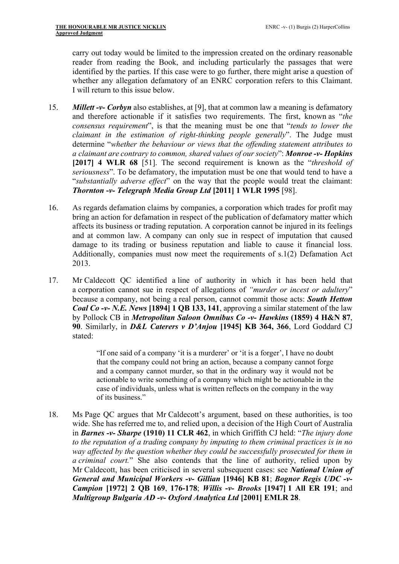carry out today would be limited to the impression created on the ordinary reasonable reader from reading the Book, and including particularly the passages that were identified by the parties. If this case were to go further, there might arise a question of whether any allegation defamatory of an ENRC corporation refers to this Claimant. I will return to this issue below.

- 15. *Millett -v- Corbyn* also establishes, at [9], that at common law a meaning is defamatory and therefore actionable if it satisfies two requirements. The first, known as "*the consensus requirement*", is that the meaning must be one that "*tends to lower the claimant in the estimation of right-thinking people generally*". The Judge must determine "*whether the behaviour or views that the offending statement attributes to a claimant are contrary to common, shared values of our society*": *Monroe -v- Hopkins* **[2017] 4 WLR 68** [51]. The second requirement is known as the "*threshold of seriousness*". To be defamatory, the imputation must be one that would tend to have a "*substantially adverse effect*" on the way that the people would treat the claimant: *Thornton* **-***v- Telegraph Media Group Ltd* **[2011] 1 WLR 1995** [98].
- 16. As regards defamation claims by companies, a corporation which trades for profit may bring an action for defamation in respect of the publication of defamatory matter which affects its business or trading reputation. A corporation cannot be injured in its feelings and at common law. A company can only sue in respect of imputation that caused damage to its trading or business reputation and liable to cause it financial loss. Additionally, companies must now meet the requirements of s.1(2) Defamation Act 2013.
- 17. Mr Caldecott QC identified a line of authority in which it has been held that a corporation cannot sue in respect of allegations of *"murder or incest or adultery*" because a company, not being a real person, cannot commit those acts: *South Hetton Coal Co -v- N.E. News* **[1894] 1 QB 133, 141**, approving a similar statement of the law by Pollock CB in *Metropolitan Saloon Omnibus Co -v- Hawkins* **(1859) 4 H&N 87**, **90**. Similarly, in *D&L Caterers v D'Anjou* **[1945] KB 364, 366**, Lord Goddard CJ stated:

"If one said of a company 'it is a murderer' or 'it is a forger', I have no doubt that the company could not bring an action, because a company cannot forge and a company cannot murder, so that in the ordinary way it would not be actionable to write something of a company which might be actionable in the case of individuals, unless what is written reflects on the company in the way of its business."

18. Ms Page QC argues that Mr Caldecott's argument, based on these authorities, is too wide. She has referred me to, and relied upon, a decision of the High Court of Australia in *Barnes -v- Sharpe* **(1910) 11 CLR 462**, in which Griffith CJ held: "*The injury done to the reputation of a trading company by imputing to them criminal practices is in no way affected by the question whether they could be successfully prosecuted for them in a criminal court.*" She also contends that the line of authority, relied upon by Mr Caldecott, has been criticised in several subsequent cases: see *National Union of General and Municipal Workers -v- Gillian* **[1946] KB 81**; *Bognor Regis UDC -v-Campion* **[1972] 2 QB 169**, **176-178**; *Willis* **-***v- Brooks* **[1947] 1 All ER 191**; and *Multigroup Bulgaria AD -v- Oxford Analytica Ltd* **[2001] EMLR 28**.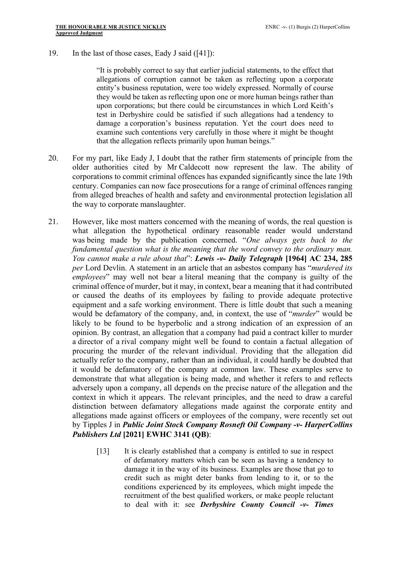19. In the last of those cases, Eady J said ([41]):

"It is probably correct to say that earlier judicial statements, to the effect that allegations of corruption cannot be taken as reflecting upon a corporate entity's business reputation, were too widely expressed. Normally of course they would be taken as reflecting upon one or more human beings rather than upon corporations; but there could be circumstances in which Lord Keith's test in Derbyshire could be satisfied if such allegations had a tendency to damage a corporation's business reputation. Yet the court does need to examine such contentions very carefully in those where it might be thought that the allegation reflects primarily upon human beings."

- 20. For my part, like Eady J, I doubt that the rather firm statements of principle from the older authorities cited by Mr Caldecott now represent the law. The ability of corporations to commit criminal offences has expanded significantly since the late 19th century. Companies can now face prosecutions for a range of criminal offences ranging from alleged breaches of health and safety and environmental protection legislation all the way to corporate manslaughter.
- 21. However, like most matters concerned with the meaning of words, the real question is what allegation the hypothetical ordinary reasonable reader would understand was being made by the publication concerned. "*One always gets back to the fundamental question what is the meaning that the word convey to the ordinary man. You cannot make a rule about that*": *Lewis -v- Daily Telegraph* **[1964] AC 234, 285** *per* Lord Devlin. A statement in an article that an asbestos company has "*murdered its employees*" may well not bear a literal meaning that the company is guilty of the criminal offence of murder, but it may, in context, bear a meaning that it had contributed or caused the deaths of its employees by failing to provide adequate protective equipment and a safe working environment. There is little doubt that such a meaning would be defamatory of the company, and, in context, the use of "*murder*" would be likely to be found to be hyperbolic and a strong indication of an expression of an opinion. By contrast, an allegation that a company had paid a contract killer to murder a director of a rival company might well be found to contain a factual allegation of procuring the murder of the relevant individual. Providing that the allegation did actually refer to the company, rather than an individual, it could hardly be doubted that it would be defamatory of the company at common law. These examples serve to demonstrate that what allegation is being made, and whether it refers to and reflects adversely upon a company, all depends on the precise nature of the allegation and the context in which it appears. The relevant principles, and the need to draw a careful distinction between defamatory allegations made against the corporate entity and allegations made against officers or employees of the company, were recently set out by Tipples J in *Public Joint Stock Company Rosneft Oil Company -v- HarperCollins Publishers Ltd* **[2021] EWHC 3141 (QB)**:
	- [13] It is clearly established that a company is entitled to sue in respect of defamatory matters which can be seen as having a tendency to damage it in the way of its business. Examples are those that go to credit such as might deter banks from lending to it, or to the conditions experienced by its employees, which might impede the recruitment of the best qualified workers, or make people reluctant to deal with it: see *Derbyshire County Council -v- Times*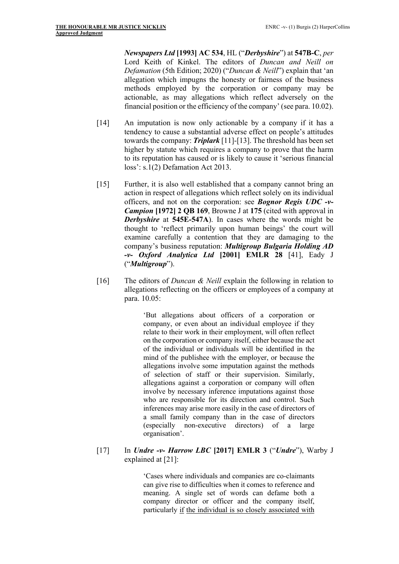*Newspapers Ltd* **[1993] AC 534**, HL ("*Derbyshire*") at **547B-C**, *per* Lord Keith of Kinkel. The editors of *Duncan and Neill on Defamation* (5th Edition; 2020) ("*Duncan & Neill*") explain that 'an allegation which impugns the honesty or fairness of the business methods employed by the corporation or company may be actionable, as may allegations which reflect adversely on the financial position or the efficiency of the company' (see para. 10.02).

- [14] An imputation is now only actionable by a company if it has a tendency to cause a substantial adverse effect on people's attitudes towards the company: *Triplark* [11]-[13]. The threshold has been set higher by statute which requires a company to prove that the harm to its reputation has caused or is likely to cause it 'serious financial loss': s.1(2) Defamation Act 2013.
- [15] Further, it is also well established that a company cannot bring an action in respect of allegations which reflect solely on its individual officers, and not on the corporation: see *Bognor Regis UDC -v-Campion* **[1972] 2 QB 169**, Browne J at **175** (cited with approval in *Derbyshire* at **545E-547A**). In cases where the words might be thought to 'reflect primarily upon human beings' the court will examine carefully a contention that they are damaging to the company's business reputation: *Multigroup Bulgaria Holding AD -v- Oxford Analytica Ltd* **[2001] EMLR 28** [41], Eady J ("*Multigroup*").
- [16] The editors of *Duncan & Neill* explain the following in relation to allegations reflecting on the officers or employees of a company at para. 10.05:

'But allegations about officers of a corporation or company, or even about an individual employee if they relate to their work in their employment, will often reflect on the corporation or company itself, either because the act of the individual or individuals will be identified in the mind of the publishee with the employer, or because the allegations involve some imputation against the methods of selection of staff or their supervision. Similarly, allegations against a corporation or company will often involve by necessary inference imputations against those who are responsible for its direction and control. Such inferences may arise more easily in the case of directors of a small family company than in the case of directors (especially non-executive directors) of a large organisation'.

[17] In *Undre -v- Harrow LBC* **[2017] EMLR 3** ("*Undre*"), Warby J explained at [21]:

> 'Cases where individuals and companies are co-claimants can give rise to difficulties when it comes to reference and meaning. A single set of words can defame both a company director or officer and the company itself, particularly if the individual is so closely associated with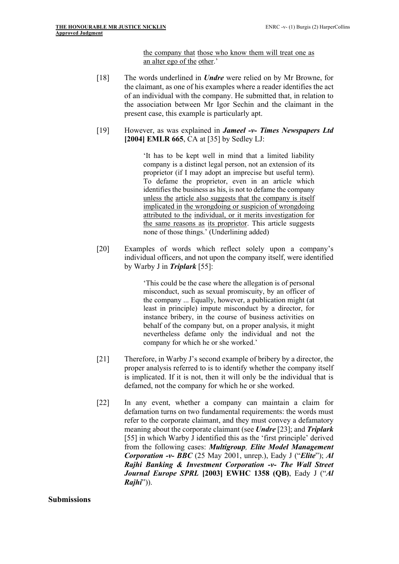the company that those who know them will treat one as an alter ego of the other.'

- [18] The words underlined in *Undre* were relied on by Mr Browne, for the claimant, as one of his examples where a reader identifies the act of an individual with the company. He submitted that, in relation to the association between Mr Igor Sechin and the claimant in the present case, this example is particularly apt.
- [19] However, as was explained in *Jameel -v- Times Newspapers Ltd* **[2004] EMLR 665**, CA at [35] by Sedley LJ:

'It has to be kept well in mind that a limited liability company is a distinct legal person, not an extension of its proprietor (if I may adopt an imprecise but useful term). To defame the proprietor, even in an article which identifies the business as his, is not to defame the company unless the article also suggests that the company is itself implicated in the wrongdoing or suspicion of wrongdoing attributed to the individual, or it merits investigation for the same reasons as its proprietor. This article suggests none of those things.' (Underlining added)

[20] Examples of words which reflect solely upon a company's individual officers, and not upon the company itself, were identified by Warby J in *Triplark* [55]:

> 'This could be the case where the allegation is of personal misconduct, such as sexual promiscuity, by an officer of the company ... Equally, however, a publication might (at least in principle) impute misconduct by a director, for instance bribery, in the course of business activities on behalf of the company but, on a proper analysis, it might nevertheless defame only the individual and not the company for which he or she worked.'

- [21] Therefore, in Warby J's second example of bribery by a director, the proper analysis referred to is to identify whether the company itself is implicated. If it is not, then it will only be the individual that is defamed, not the company for which he or she worked.
- [22] In any event, whether a company can maintain a claim for defamation turns on two fundamental requirements: the words must refer to the corporate claimant, and they must convey a defamatory meaning about the corporate claimant (see *Undre* [23]; and *Triplark* [55] in which Warby J identified this as the 'first principle' derived from the following cases: *Multigroup, Elite Model Management Corporation -v- BBC* (25 May 2001, unrep.), Eady J ("*Elite*"); *Al Rajhi Banking & Investment Corporation -v- The Wall Street Journal Europe SPRL* **[2003] EWHC 1358 (QB)**, Eady J ("*Al Rajhi*")).

**Submissions**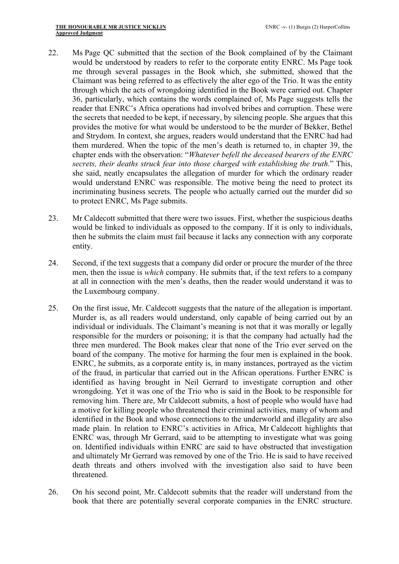- 22. Ms Page QC submitted that the section of the Book complained of by the Claimant would be understood by readers to refer to the corporate entity ENRC. Ms Page took me through several passages in the Book which, she submitted, showed that the Claimant was being referred to as effectively the alter ego of the Trio. It was the entity through which the acts of wrongdoing identified in the Book were carried out. Chapter 36, particularly, which contains the words complained of, Ms Page suggests tells the reader that ENRC's Africa operations had involved bribes and corruption. These were the secrets that needed to be kept, if necessary, by silencing people. She argues that this provides the motive for what would be understood to be the murder of Bekker, Bethel and Strydom. In context, she argues, readers would understand that the ENRC had had them murdered. When the topic of the men's death is returned to, in chapter 39, the chapter ends with the observation: "*Whatever befell the deceased bearers of the ENRC secrets, their deaths struck fear into those charged with establishing the truth.*" This, she said, neatly encapsulates the allegation of murder for which the ordinary reader would understand ENRC was responsible. The motive being the need to protect its incriminating business secrets. The people who actually carried out the murder did so to protect ENRC, Ms Page submits.
- 23. Mr Caldecott submitted that there were two issues. First, whether the suspicious deaths would be linked to individuals as opposed to the company. If it is only to individuals, then he submits the claim must fail because it lacks any connection with any corporate entity.
- 24. Second, if the text suggests that a company did order or procure the murder of the three men, then the issue is *which* company. He submits that, if the text refers to a company at all in connection with the men's deaths, then the reader would understand it was to the Luxembourg company.
- 25. On the first issue, Mr. Caldecott suggests that the nature of the allegation is important. Murder is, as all readers would understand, only capable of being carried out by an individual or individuals. The Claimant's meaning is not that it was morally or legally responsible for the murders or poisoning; it is that the company had actually had the three men murdered. The Book makes clear that none of the Trio ever served on the board of the company. The motive for harming the four men is explained in the book. ENRC, he submits, as a corporate entity is, in many instances, portrayed as the victim of the fraud, in particular that carried out in the African operations. Further ENRC is identified as having brought in Neil Gerrard to investigate corruption and other wrongdoing. Yet it was one of the Trio who is said in the Book to be responsible for removing him. There are, Mr Caldecott submits, a host of people who would have had a motive for killing people who threatened their criminal activities, many of whom and identified in the Book and whose connections to the underworld and illegality are also made plain. In relation to ENRC's activities in Africa, Mr Caldecott highlights that ENRC was, through Mr Gerrard, said to be attempting to investigate what was going on. Identified individuals within ENRC are said to have obstructed that investigation and ultimately Mr Gerrard was removed by one of the Trio. He is said to have received death threats and others involved with the investigation also said to have been threatened.
- 26. On his second point, Mr. Caldecott submits that the reader will understand from the book that there are potentially several corporate companies in the ENRC structure.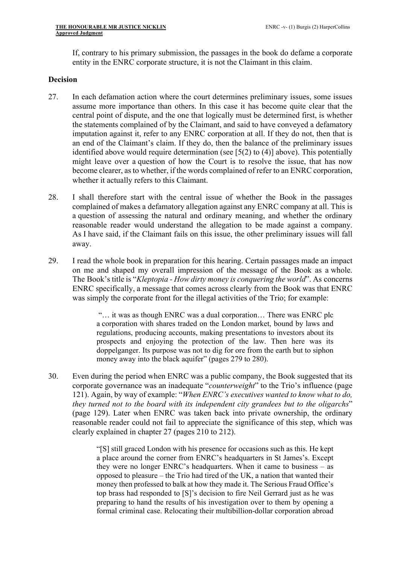If, contrary to his primary submission, the passages in the book do defame a corporate entity in the ENRC corporate structure, it is not the Claimant in this claim.

#### **Decision**

- 27. In each defamation action where the court determines preliminary issues, some issues assume more importance than others. In this case it has become quite clear that the central point of dispute, and the one that logically must be determined first, is whether the statements complained of by the Claimant, and said to have conveyed a defamatory imputation against it, refer to any ENRC corporation at all. If they do not, then that is an end of the Claimant's claim. If they do, then the balance of the preliminary issues identified above would require determination (see [5(2) to (4)] above). This potentially might leave over a question of how the Court is to resolve the issue, that has now become clearer, as to whether, if the words complained of refer to an ENRC corporation, whether it actually refers to this Claimant.
- 28. I shall therefore start with the central issue of whether the Book in the passages complained of makes a defamatory allegation against any ENRC company at all. This is a question of assessing the natural and ordinary meaning, and whether the ordinary reasonable reader would understand the allegation to be made against a company. As I have said, if the Claimant fails on this issue, the other preliminary issues will fall away.
- 29. I read the whole book in preparation for this hearing. Certain passages made an impact on me and shaped my overall impression of the message of the Book as a whole. The Book's title is "*Kleptopia - How dirty money is conquering the world*". As concerns ENRC specifically, a message that comes across clearly from the Book was that ENRC was simply the corporate front for the illegal activities of the Trio; for example:

"… it was as though ENRC was a dual corporation… There was ENRC plc a corporation with shares traded on the London market, bound by laws and regulations, producing accounts, making presentations to investors about its prospects and enjoying the protection of the law. Then here was its doppelganger. Its purpose was not to dig for ore from the earth but to siphon money away into the black aquifer" (pages 279 to 280).

30. Even during the period when ENRC was a public company, the Book suggested that its corporate governance was an inadequate "*counterweight*" to the Trio's influence (page 121). Again, by way of example: "*When ENRC's executives wanted to know what to do, they turned not to the board with its independent city grandees but to the oligarchs*" (page 129). Later when ENRC was taken back into private ownership, the ordinary reasonable reader could not fail to appreciate the significance of this step, which was clearly explained in chapter 27 (pages 210 to 212).

> "[S] still graced London with his presence for occasions such as this. He kept a place around the corner from ENRC's headquarters in St James's. Except they were no longer ENRC's headquarters. When it came to business – as opposed to pleasure – the Trio had tired of the UK, a nation that wanted their money then professed to balk at how they made it. The Serious Fraud Office's top brass had responded to [S]'s decision to fire Neil Gerrard just as he was preparing to hand the results of his investigation over to them by opening a formal criminal case. Relocating their multibillion-dollar corporation abroad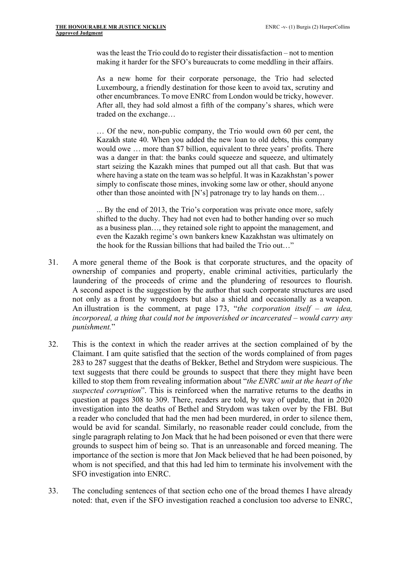was the least the Trio could do to register their dissatisfaction – not to mention making it harder for the SFO's bureaucrats to come meddling in their affairs.

As a new home for their corporate personage, the Trio had selected Luxembourg, a friendly destination for those keen to avoid tax, scrutiny and other encumbrances. To move ENRC from London would be tricky, however. After all, they had sold almost a fifth of the company's shares, which were traded on the exchange…

… Of the new, non-public company, the Trio would own 60 per cent, the Kazakh state 40. When you added the new loan to old debts, this company would owe … more than \$7 billion, equivalent to three years' profits. There was a danger in that: the banks could squeeze and squeeze, and ultimately start seizing the Kazakh mines that pumped out all that cash. But that was where having a state on the team was so helpful. It was in Kazakhstan's power simply to confiscate those mines, invoking some law or other, should anyone other than those anointed with [N's] patronage try to lay hands on them…

... By the end of 2013, the Trio's corporation was private once more, safely shifted to the duchy. They had not even had to bother handing over so much as a business plan…, they retained sole right to appoint the management, and even the Kazakh regime's own bankers knew Kazakhstan was ultimately on the hook for the Russian billions that had bailed the Trio out…"

- 31. A more general theme of the Book is that corporate structures, and the opacity of ownership of companies and property, enable criminal activities, particularly the laundering of the proceeds of crime and the plundering of resources to flourish. A second aspect is the suggestion by the author that such corporate structures are used not only as a front by wrongdoers but also a shield and occasionally as a weapon. An illustration is the comment, at page 173, "*the corporation itself – an idea, incorporeal, a thing that could not be impoverished or incarcerated – would carry any punishment.*"
- 32. This is the context in which the reader arrives at the section complained of by the Claimant. I am quite satisfied that the section of the words complained of from pages 283 to 287 suggest that the deaths of Bekker, Bethel and Strydom were suspicious. The text suggests that there could be grounds to suspect that there they might have been killed to stop them from revealing information about "*the ENRC unit at the heart of the suspected corruption*". This is reinforced when the narrative returns to the deaths in question at pages 308 to 309. There, readers are told, by way of update, that in 2020 investigation into the deaths of Bethel and Strydom was taken over by the FBI. But a reader who concluded that had the men had been murdered, in order to silence them, would be avid for scandal. Similarly, no reasonable reader could conclude, from the single paragraph relating to Jon Mack that he had been poisoned or even that there were grounds to suspect him of being so. That is an unreasonable and forced meaning. The importance of the section is more that Jon Mack believed that he had been poisoned, by whom is not specified, and that this had led him to terminate his involvement with the SFO investigation into ENRC.
- 33. The concluding sentences of that section echo one of the broad themes I have already noted: that, even if the SFO investigation reached a conclusion too adverse to ENRC,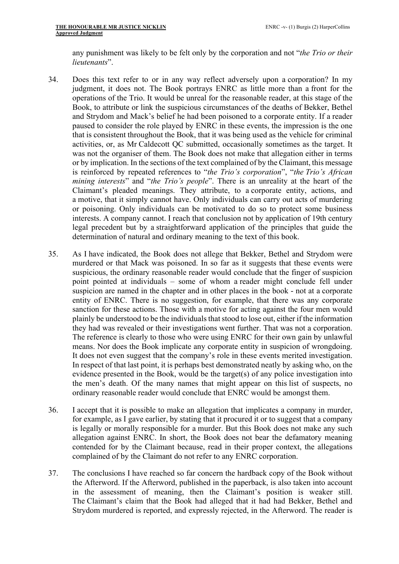any punishment was likely to be felt only by the corporation and not "*the Trio or their lieutenants*".

- 34. Does this text refer to or in any way reflect adversely upon a corporation? In my judgment, it does not. The Book portrays ENRC as little more than a front for the operations of the Trio. It would be unreal for the reasonable reader, at this stage of the Book, to attribute or link the suspicious circumstances of the deaths of Bekker, Bethel and Strydom and Mack's belief he had been poisoned to a corporate entity. If a reader paused to consider the role played by ENRC in these events, the impression is the one that is consistent throughout the Book, that it was being used as the vehicle for criminal activities, or, as Mr Caldecott QC submitted, occasionally sometimes as the target. It was not the organiser of them. The Book does not make that allegation either in terms or by implication. In the sections of the text complained of by the Claimant, this message is reinforced by repeated references to "*the Trio's corporation*", "*the Trio's African mining interests*" and "*the Trio's people*". There is an unreality at the heart of the Claimant's pleaded meanings. They attribute, to a corporate entity, actions, and a motive, that it simply cannot have. Only individuals can carry out acts of murdering or poisoning. Only individuals can be motivated to do so to protect some business interests. A company cannot. I reach that conclusion not by application of 19th century legal precedent but by a straightforward application of the principles that guide the determination of natural and ordinary meaning to the text of this book.
- 35. As I have indicated, the Book does not allege that Bekker, Bethel and Strydom were murdered or that Mack was poisoned. In so far as it suggests that these events were suspicious, the ordinary reasonable reader would conclude that the finger of suspicion point pointed at individuals – some of whom a reader might conclude fell under suspicion are named in the chapter and in other places in the book - not at a corporate entity of ENRC. There is no suggestion, for example, that there was any corporate sanction for these actions. Those with a motive for acting against the four men would plainly be understood to be the individuals that stood to lose out, either if the information they had was revealed or their investigations went further. That was not a corporation. The reference is clearly to those who were using ENRC for their own gain by unlawful means. Nor does the Book implicate any corporate entity in suspicion of wrongdoing. It does not even suggest that the company's role in these events merited investigation. In respect of that last point, it is perhaps best demonstrated neatly by asking who, on the evidence presented in the Book, would be the target(s) of any police investigation into the men's death. Of the many names that might appear on this list of suspects, no ordinary reasonable reader would conclude that ENRC would be amongst them.
- 36. I accept that it is possible to make an allegation that implicates a company in murder, for example, as I gave earlier, by stating that it procured it or to suggest that a company is legally or morally responsible for a murder. But this Book does not make any such allegation against ENRC. In short, the Book does not bear the defamatory meaning contended for by the Claimant because, read in their proper context, the allegations complained of by the Claimant do not refer to any ENRC corporation.
- 37. The conclusions I have reached so far concern the hardback copy of the Book without the Afterword. If the Afterword, published in the paperback, is also taken into account in the assessment of meaning, then the Claimant's position is weaker still. The Claimant's claim that the Book had alleged that it had had Bekker, Bethel and Strydom murdered is reported, and expressly rejected, in the Afterword. The reader is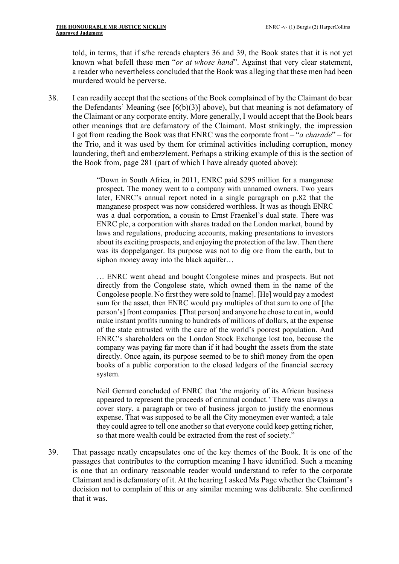told, in terms, that if s/he rereads chapters 36 and 39, the Book states that it is not yet known what befell these men "*or at whose hand*". Against that very clear statement, a reader who nevertheless concluded that the Book was alleging that these men had been murdered would be perverse.

38. I can readily accept that the sections of the Book complained of by the Claimant do bear the Defendants' Meaning (see  $[6(b)(3)]$  above), but that meaning is not defamatory of the Claimant or any corporate entity. More generally, I would accept that the Book bears other meanings that are defamatory of the Claimant. Most strikingly, the impression I got from reading the Book was that ENRC was the corporate front – "*a charade*" – for the Trio, and it was used by them for criminal activities including corruption, money laundering, theft and embezzlement. Perhaps a striking example of this is the section of the Book from, page 281 (part of which I have already quoted above):

> "Down in South Africa, in 2011, ENRC paid \$295 million for a manganese prospect. The money went to a company with unnamed owners. Two years later, ENRC's annual report noted in a single paragraph on p.82 that the manganese prospect was now considered worthless. It was as though ENRC was a dual corporation, a cousin to Ernst Fraenkel's dual state. There was ENRC plc, a corporation with shares traded on the London market, bound by laws and regulations, producing accounts, making presentations to investors about its exciting prospects, and enjoying the protection of the law. Then there was its doppelganger. Its purpose was not to dig ore from the earth, but to siphon money away into the black aquifer...

> … ENRC went ahead and bought Congolese mines and prospects. But not directly from the Congolese state, which owned them in the name of the Congolese people. No first they were sold to [name]. [He] would pay a modest sum for the asset, then ENRC would pay multiples of that sum to one of [the person's] front companies. [That person] and anyone he chose to cut in, would make instant profits running to hundreds of millions of dollars, at the expense of the state entrusted with the care of the world's poorest population. And ENRC's shareholders on the London Stock Exchange lost too, because the company was paying far more than if it had bought the assets from the state directly. Once again, its purpose seemed to be to shift money from the open books of a public corporation to the closed ledgers of the financial secrecy system.

> Neil Gerrard concluded of ENRC that 'the majority of its African business appeared to represent the proceeds of criminal conduct.' There was always a cover story, a paragraph or two of business jargon to justify the enormous expense. That was supposed to be all the City moneymen ever wanted; a tale they could agree to tell one another so that everyone could keep getting richer, so that more wealth could be extracted from the rest of society."

39. That passage neatly encapsulates one of the key themes of the Book. It is one of the passages that contributes to the corruption meaning I have identified. Such a meaning is one that an ordinary reasonable reader would understand to refer to the corporate Claimant and is defamatory of it. At the hearing I asked Ms Page whether the Claimant's decision not to complain of this or any similar meaning was deliberate. She confirmed that it was.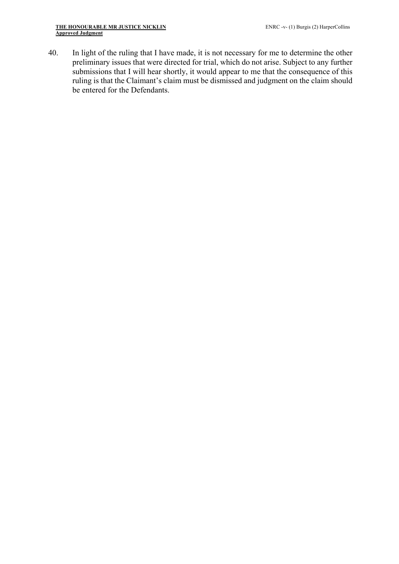40. In light of the ruling that I have made, it is not necessary for me to determine the other preliminary issues that were directed for trial, which do not arise. Subject to any further submissions that I will hear shortly, it would appear to me that the consequence of this ruling is that the Claimant's claim must be dismissed and judgment on the claim should be entered for the Defendants.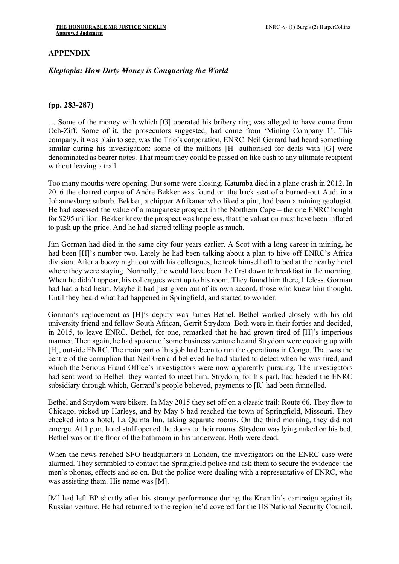## **APPENDIX**

### *Kleptopia: How Dirty Money is Conquering the World*

#### **(pp. 283-287)**

… Some of the money with which [G] operated his bribery ring was alleged to have come from Och-Ziff. Some of it, the prosecutors suggested, had come from 'Mining Company 1'. This company, it was plain to see, was the Trio's corporation, ENRC. Neil Gerrard had heard something similar during his investigation: some of the millions [H] authorised for deals with [G] were denominated as bearer notes. That meant they could be passed on like cash to any ultimate recipient without leaving a trail.

Too many mouths were opening. But some were closing. Katumba died in a plane crash in 2012. In 2016 the charred corpse of Andre Bekker was found on the back seat of a burned-out Audi in a Johannesburg suburb. Bekker, a chipper Afrikaner who liked a pint, had been a mining geologist. He had assessed the value of a manganese prospect in the Northern Cape – the one ENRC bought for \$295 million. Bekker knew the prospect was hopeless, that the valuation must have been inflated to push up the price. And he had started telling people as much.

Jim Gorman had died in the same city four years earlier. A Scot with a long career in mining, he had been [H]'s number two. Lately he had been talking about a plan to hive off ENRC's Africa division. After a boozy night out with his colleagues, he took himself off to bed at the nearby hotel where they were staying. Normally, he would have been the first down to breakfast in the morning. When he didn't appear, his colleagues went up to his room. They found him there, lifeless. Gorman had had a bad heart. Maybe it had just given out of its own accord, those who knew him thought. Until they heard what had happened in Springfield, and started to wonder.

Gorman's replacement as [H]'s deputy was James Bethel. Bethel worked closely with his old university friend and fellow South African, Gerrit Strydom. Both were in their forties and decided, in 2015, to leave ENRC. Bethel, for one, remarked that he had grown tired of [H]'s imperious manner. Then again, he had spoken of some business venture he and Strydom were cooking up with [H], outside ENRC. The main part of his job had been to run the operations in Congo. That was the centre of the corruption that Neil Gerrard believed he had started to detect when he was fired, and which the Serious Fraud Office's investigators were now apparently pursuing. The investigators had sent word to Bethel: they wanted to meet him. Strydom, for his part, had headed the ENRC subsidiary through which, Gerrard's people believed, payments to [R] had been funnelled.

Bethel and Strydom were bikers. In May 2015 they set off on a classic trail: Route 66. They flew to Chicago, picked up Harleys, and by May 6 had reached the town of Springfield, Missouri. They checked into a hotel, La Quinta Inn, taking separate rooms. On the third morning, they did not emerge. At 1 p.m. hotel staff opened the doors to their rooms. Strydom was lying naked on his bed. Bethel was on the floor of the bathroom in his underwear. Both were dead.

When the news reached SFO headquarters in London, the investigators on the ENRC case were alarmed. They scrambled to contact the Springfield police and ask them to secure the evidence: the men's phones, effects and so on. But the police were dealing with a representative of ENRC, who was assisting them. His name was [M].

[M] had left BP shortly after his strange performance during the Kremlin's campaign against its Russian venture. He had returned to the region he'd covered for the US National Security Council,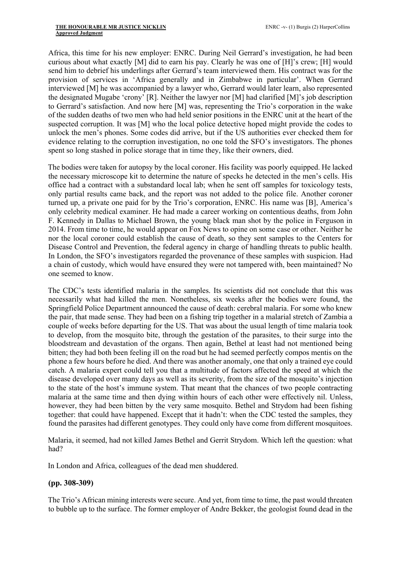Africa, this time for his new employer: ENRC. During Neil Gerrard's investigation, he had been curious about what exactly [M] did to earn his pay. Clearly he was one of [H]'s crew; [H] would send him to debrief his underlings after Gerrard's team interviewed them. His contract was for the provision of services in 'Africa generally and in Zimbabwe in particular'. When Gerrard interviewed [M] he was accompanied by a lawyer who, Gerrard would later learn, also represented the designated Mugabe 'crony' [R]. Neither the lawyer nor [M] had clarified [M]'s job description to Gerrard's satisfaction. And now here [M] was, representing the Trio's corporation in the wake of the sudden deaths of two men who had held senior positions in the ENRC unit at the heart of the suspected corruption. It was [M] who the local police detective hoped might provide the codes to unlock the men's phones. Some codes did arrive, but if the US authorities ever checked them for evidence relating to the corruption investigation, no one told the SFO's investigators. The phones spent so long stashed in police storage that in time they, like their owners, died.

The bodies were taken for autopsy by the local coroner. His facility was poorly equipped. He lacked the necessary microscope kit to determine the nature of specks he detected in the men's cells. His office had a contract with a substandard local lab; when he sent off samples for toxicology tests, only partial results came back, and the report was not added to the police file. Another coroner turned up, a private one paid for by the Trio's corporation, ENRC. His name was [B], America's only celebrity medical examiner. He had made a career working on contentious deaths, from John F. Kennedy in Dallas to Michael Brown, the young black man shot by the police in Ferguson in 2014. From time to time, he would appear on Fox News to opine on some case or other. Neither he nor the local coroner could establish the cause of death, so they sent samples to the Centers for Disease Control and Prevention, the federal agency in charge of handling threats to public health. In London, the SFO's investigators regarded the provenance of these samples with suspicion. Had a chain of custody, which would have ensured they were not tampered with, been maintained? No one seemed to know.

The CDC's tests identified malaria in the samples. Its scientists did not conclude that this was necessarily what had killed the men. Nonetheless, six weeks after the bodies were found, the Springfield Police Department announced the cause of death: cerebral malaria. For some who knew the pair, that made sense. They had been on a fishing trip together in a malarial stretch of Zambia a couple of weeks before departing for the US. That was about the usual length of time malaria took to develop, from the mosquito bite, through the gestation of the parasites, to their surge into the bloodstream and devastation of the organs. Then again, Bethel at least had not mentioned being bitten; they had both been feeling ill on the road but he had seemed perfectly compos mentis on the phone a few hours before he died. And there was another anomaly, one that only a trained eye could catch. A malaria expert could tell you that a multitude of factors affected the speed at which the disease developed over many days as well as its severity, from the size of the mosquito's injection to the state of the host's immune system. That meant that the chances of two people contracting malaria at the same time and then dying within hours of each other were effectively nil. Unless, however, they had been bitten by the very same mosquito. Bethel and Strydom had been fishing together: that could have happened. Except that it hadn't: when the CDC tested the samples, they found the parasites had different genotypes. They could only have come from different mosquitoes.

Malaria, it seemed, had not killed James Bethel and Gerrit Strydom. Which left the question: what had?

In London and Africa, colleagues of the dead men shuddered.

### **(pp. 308-309)**

The Trio's African mining interests were secure. And yet, from time to time, the past would threaten to bubble up to the surface. The former employer of Andre Bekker, the geologist found dead in the